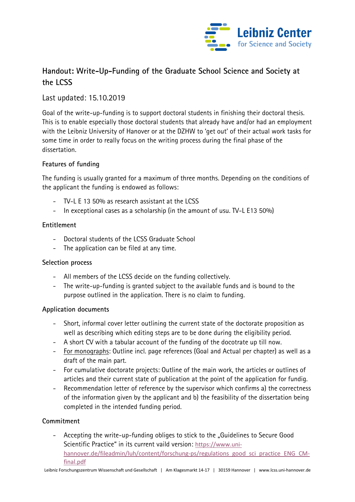

# **Handout: Write-Up-Funding of the Graduate School Science and Society at the LCSS**

# Last updated: 15.10.2019

Goal of the write-up-funding is to support doctoral students in finishing their doctoral thesis. This is to enable especially those doctoral students that already have and/or had an employment with the Leibniz University of Hanover or at the DZHW to 'get out' of their actual work tasks for some time in order to really focus on the writing process during the final phase of the dissertation.

# **Features of funding**

The funding is usually granted for a maximum of three months. Depending on the conditions of the applicant the funding is endowed as follows:

- TV-L E 13 50% as research assistant at the LCSS
- In exceptional cases as a scholarship (in the amount of usu. TV-L E13 50%)

## **Entitlement**

- Doctoral students of the LCSS Graduate School
- The application can be filed at any time.

#### **Selection process**

- All members of the LCSS decide on the funding collectively.
- The write-up-funding is granted subject to the available funds and is bound to the purpose outlined in the application. There is no claim to funding.

#### **Application documents**

- Short, informal cover letter outlining the current state of the doctorate proposition as well as describing which editing steps are to be done during the eligibility period.
- A short CV with a tabular account of the funding of the docotrate up till now.
- For monographs: Outline incl. page references (Goal and Actual per chapter) as well as a draft of the main part.
- For cumulative doctorate projects: Outline of the main work, the articles or outlines of articles and their current state of publication at the point of the application for fundig.
- Recommendation letter of reference by the supervisor which confirms a) the correctness of the information given by the applicant and b) the feasibility of the dissertation being completed in the intended funding period.

# **Commitment**

Accepting the write-up-funding obliges to stick to the "Guidelines to Secure Good" Scientific Practice" in its current vaild version: https://www.unihannover.de/fileadmin/luh/content/forschung-ps/regulations\_good\_sci\_practice\_ENG\_CMfinal.pdf